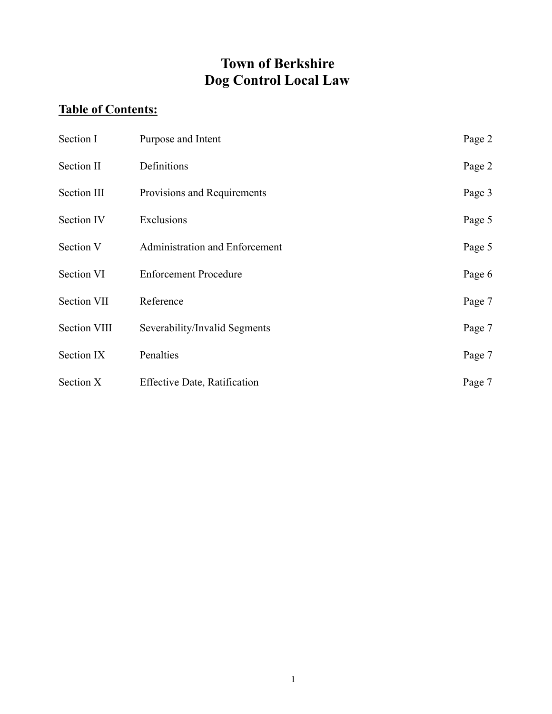# **Town of Berkshire Dog Control Local Law**

## **Table of Contents:**

| Section I           | Purpose and Intent                  | Page 2 |
|---------------------|-------------------------------------|--------|
| Section II          | Definitions                         | Page 2 |
| Section III         | Provisions and Requirements         | Page 3 |
| <b>Section IV</b>   | Exclusions                          | Page 5 |
| Section V           | Administration and Enforcement      | Page 5 |
| Section VI          | <b>Enforcement Procedure</b>        | Page 6 |
| Section VII         | Reference                           | Page 7 |
| <b>Section VIII</b> | Severability/Invalid Segments       | Page 7 |
| Section IX          | Penalties                           | Page 7 |
| Section X           | <b>Effective Date, Ratification</b> | Page 7 |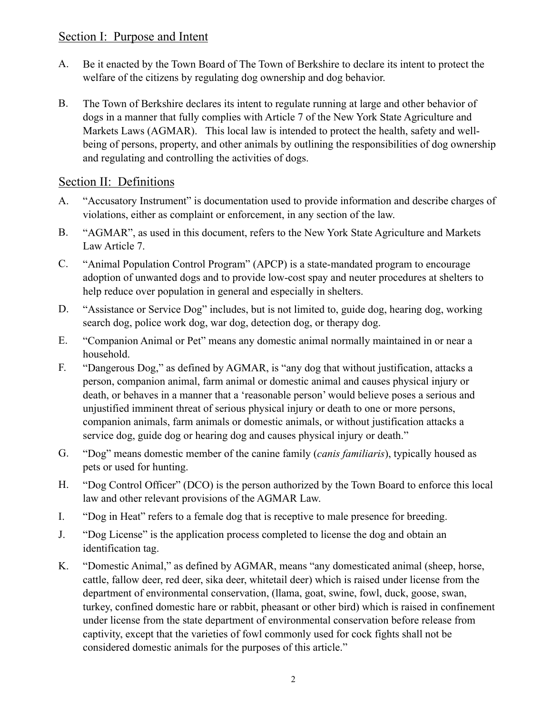#### Section I: Purpose and Intent

- A. Be it enacted by the Town Board of The Town of Berkshire to declare its intent to protect the welfare of the citizens by regulating dog ownership and dog behavior.
- B. The Town of Berkshire declares its intent to regulate running at large and other behavior of dogs in a manner that fully complies with Article 7 of the New York State Agriculture and Markets Laws (AGMAR). This local law is intended to protect the health, safety and wellbeing of persons, property, and other animals by outlining the responsibilities of dog ownership and regulating and controlling the activities of dogs.

#### Section II: Definitions

- A. "Accusatory Instrument" is documentation used to provide information and describe charges of violations, either as complaint or enforcement, in any section of the law.
- B. "AGMAR", as used in this document, refers to the New York State Agriculture and Markets Law Article 7.
- C. "Animal Population Control Program" (APCP) is a state-mandated program to encourage adoption of unwanted dogs and to provide low-cost spay and neuter procedures at shelters to help reduce over population in general and especially in shelters.
- D. "Assistance or Service Dog" includes, but is not limited to, guide dog, hearing dog, working search dog, police work dog, war dog, detection dog, or therapy dog.
- E. "Companion Animal or Pet" means any domestic animal normally maintained in or near a household.
- F. "Dangerous Dog," as defined by AGMAR, is "any dog that without justification, attacks a person, companion animal, farm animal or domestic animal and causes physical injury or death, or behaves in a manner that a 'reasonable person' would believe poses a serious and unjustified imminent threat of serious physical injury or death to one or more persons, companion animals, farm animals or domestic animals, or without justification attacks a service dog, guide dog or hearing dog and causes physical injury or death."
- G. "Dog" means domestic member of the canine family (*canis familiaris*), typically housed as pets or used for hunting.
- H. "Dog Control Officer" (DCO) is the person authorized by the Town Board to enforce this local law and other relevant provisions of the AGMAR Law.
- I. "Dog in Heat" refers to a female dog that is receptive to male presence for breeding.
- J. "Dog License" is the application process completed to license the dog and obtain an identification tag.
- K. "Domestic Animal," as defined by AGMAR, means "any domesticated animal (sheep, horse, cattle, fallow deer, red deer, sika deer, whitetail deer) which is raised under license from the department of environmental conservation, (llama, goat, swine, fowl, duck, goose, swan, turkey, confined domestic hare or rabbit, pheasant or other bird) which is raised in confinement under license from the state department of environmental conservation before release from captivity, except that the varieties of fowl commonly used for cock fights shall not be considered domestic animals for the purposes of this article."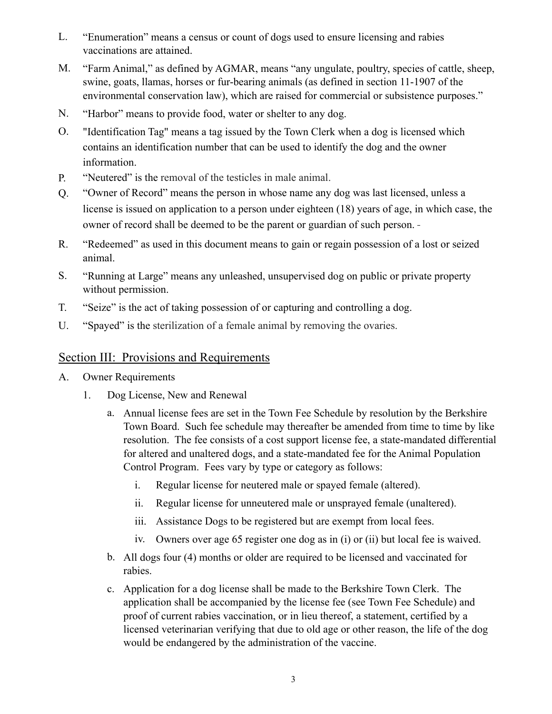- L. "Enumeration" means a census or count of dogs used to ensure licensing and rabies vaccinations are attained.
- M. "Farm Animal," as defined by AGMAR, means "any ungulate, poultry, species of cattle, sheep, swine, goats, llamas, horses or fur-bearing animals (as defined in section 11-1907 of the environmental conservation law), which are raised for commercial or subsistence purposes."
- N. "Harbor" means to provide food, water or shelter to any dog.
- O. "Identification Tag" means a tag issued by the Town Clerk when a dog is licensed which contains an identification number that can be used to identify the dog and the owner information.
- P. "Neutered" is the removal of the testicles in male animal.
- Q. "Owner of Record" means the person in whose name any dog was last licensed, unless a license is issued on application to a person under eighteen (18) years of age, in which case, the owner of record shall be deemed to be the parent or guardian of such person.
- R. "Redeemed" as used in this document means to gain or regain possession of a lost or seized animal.
- S. "Running at Large" means any unleashed, unsupervised dog on public or private property without permission.
- T. "Seize" is the act of taking possession of or capturing and controlling a dog.
- U. "Spayed" is the sterilization of a female animal by removing the ovaries.

#### Section III: Provisions and Requirements

- A. Owner Requirements
	- 1. Dog License, New and Renewal
		- a. Annual license fees are set in the Town Fee Schedule by resolution by the Berkshire Town Board. Such fee schedule may thereafter be amended from time to time by like resolution. The fee consists of a cost support license fee, a state-mandated differential for altered and unaltered dogs, and a state-mandated fee for the Animal Population Control Program. Fees vary by type or category as follows:
			- i. Regular license for neutered male or spayed female (altered).
			- ii. Regular license for unneutered male or unsprayed female (unaltered).
			- iii. Assistance Dogs to be registered but are exempt from local fees.
			- iv. Owners over age 65 register one dog as in (i) or (ii) but local fee is waived.
		- b. All dogs four (4) months or older are required to be licensed and vaccinated for rabies.
		- c. Application for a dog license shall be made to the Berkshire Town Clerk. The application shall be accompanied by the license fee (see Town Fee Schedule) and proof of current rabies vaccination, or in lieu thereof, a statement, certified by a licensed veterinarian verifying that due to old age or other reason, the life of the dog would be endangered by the administration of the vaccine.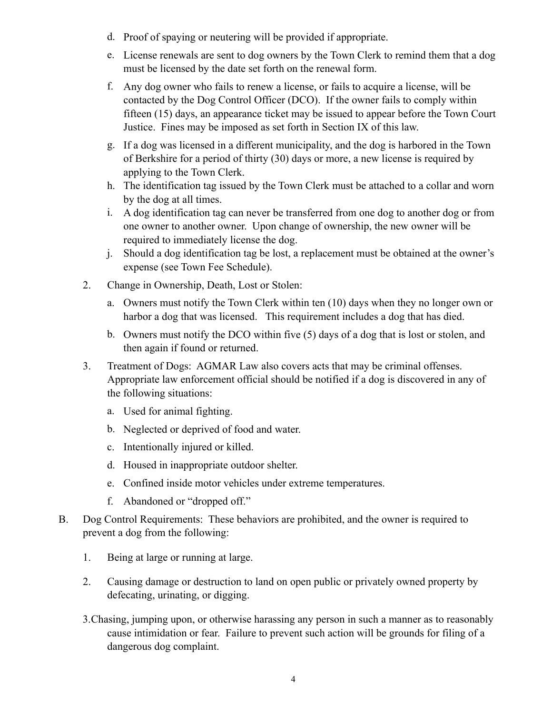- d. Proof of spaying or neutering will be provided if appropriate.
- e. License renewals are sent to dog owners by the Town Clerk to remind them that a dog must be licensed by the date set forth on the renewal form.
- f. Any dog owner who fails to renew a license, or fails to acquire a license, will be contacted by the Dog Control Officer (DCO). If the owner fails to comply within fifteen (15) days, an appearance ticket may be issued to appear before the Town Court Justice. Fines may be imposed as set forth in Section IX of this law.
- g. If a dog was licensed in a different municipality, and the dog is harbored in the Town of Berkshire for a period of thirty (30) days or more, a new license is required by applying to the Town Clerk.
- h. The identification tag issued by the Town Clerk must be attached to a collar and worn by the dog at all times.
- i. A dog identification tag can never be transferred from one dog to another dog or from one owner to another owner. Upon change of ownership, the new owner will be required to immediately license the dog.
- j. Should a dog identification tag be lost, a replacement must be obtained at the owner's expense (see Town Fee Schedule).
- 2. Change in Ownership, Death, Lost or Stolen:
	- a. Owners must notify the Town Clerk within ten (10) days when they no longer own or harbor a dog that was licensed. This requirement includes a dog that has died.
	- b. Owners must notify the DCO within five (5) days of a dog that is lost or stolen, and then again if found or returned.
- 3. Treatment of Dogs: AGMAR Law also covers acts that may be criminal offenses. Appropriate law enforcement official should be notified if a dog is discovered in any of the following situations:
	- a. Used for animal fighting.
	- b. Neglected or deprived of food and water.
	- c. Intentionally injured or killed.
	- d. Housed in inappropriate outdoor shelter.
	- e. Confined inside motor vehicles under extreme temperatures.
	- f. Abandoned or "dropped off."
- B. Dog Control Requirements: These behaviors are prohibited, and the owner is required to prevent a dog from the following:
	- 1. Being at large or running at large.
	- 2. Causing damage or destruction to land on open public or privately owned property by defecating, urinating, or digging.
	- 3.Chasing, jumping upon, or otherwise harassing any person in such a manner as to reasonably cause intimidation or fear. Failure to prevent such action will be grounds for filing of a dangerous dog complaint.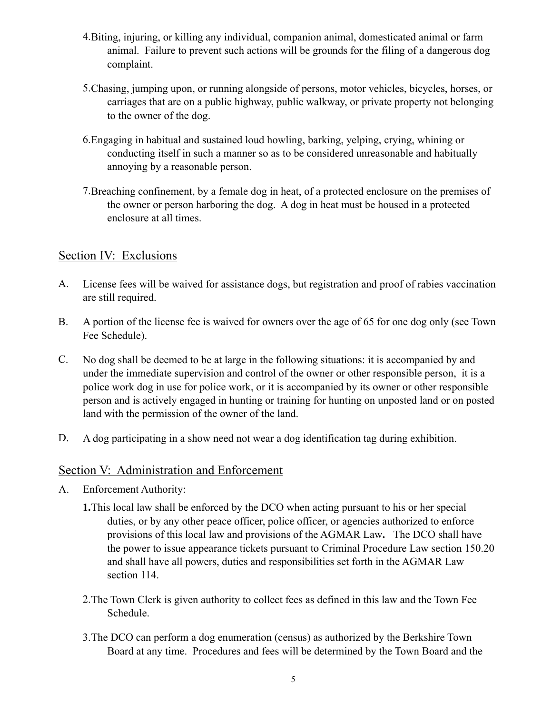- 4.Biting, injuring, or killing any individual, companion animal, domesticated animal or farm animal. Failure to prevent such actions will be grounds for the filing of a dangerous dog complaint.
- 5.Chasing, jumping upon, or running alongside of persons, motor vehicles, bicycles, horses, or carriages that are on a public highway, public walkway, or private property not belonging to the owner of the dog.
- 6.Engaging in habitual and sustained loud howling, barking, yelping, crying, whining or conducting itself in such a manner so as to be considered unreasonable and habitually annoying by a reasonable person.
- 7.Breaching confinement, by a female dog in heat, of a protected enclosure on the premises of the owner or person harboring the dog. A dog in heat must be housed in a protected enclosure at all times.

#### Section IV: Exclusions

- A. License fees will be waived for assistance dogs, but registration and proof of rabies vaccination are still required.
- B. A portion of the license fee is waived for owners over the age of 65 for one dog only (see Town Fee Schedule).
- C. No dog shall be deemed to be at large in the following situations: it is accompanied by and under the immediate supervision and control of the owner or other responsible person, it is a police work dog in use for police work, or it is accompanied by its owner or other responsible person and is actively engaged in hunting or training for hunting on unposted land or on posted land with the permission of the owner of the land.
- D. A dog participating in a show need not wear a dog identification tag during exhibition.

#### Section V: Administration and Enforcement

- A. Enforcement Authority:
	- **1.**This local law shall be enforced by the DCO when acting pursuant to his or her special duties, or by any other peace officer, police officer, or agencies authorized to enforce provisions of this local law and provisions of the AGMAR Law**.** The DCO shall have the power to issue appearance tickets pursuant to Criminal Procedure Law section 150.20 and shall have all powers, duties and responsibilities set forth in the AGMAR Law section 114.
	- 2.The Town Clerk is given authority to collect fees as defined in this law and the Town Fee Schedule.
	- 3.The DCO can perform a dog enumeration (census) as authorized by the Berkshire Town Board at any time. Procedures and fees will be determined by the Town Board and the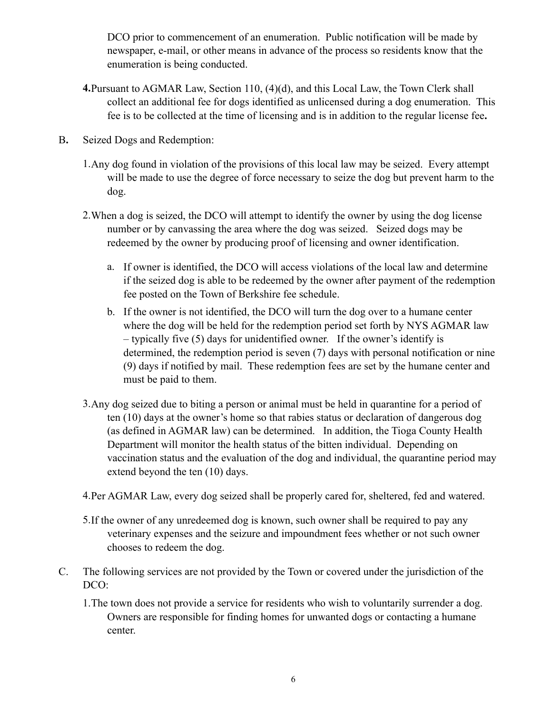DCO prior to commencement of an enumeration. Public notification will be made by newspaper, e-mail, or other means in advance of the process so residents know that the enumeration is being conducted.

- **4.**Pursuant to AGMAR Law, Section 110, (4)(d), and this Local Law, the Town Clerk shall collect an additional fee for dogs identified as unlicensed during a dog enumeration. This fee is to be collected at the time of licensing and is in addition to the regular license fee**.**
- B**.** Seized Dogs and Redemption:
	- 1.Any dog found in violation of the provisions of this local law may be seized. Every attempt will be made to use the degree of force necessary to seize the dog but prevent harm to the dog.
	- 2.When a dog is seized, the DCO will attempt to identify the owner by using the dog license number or by canvassing the area where the dog was seized. Seized dogs may be redeemed by the owner by producing proof of licensing and owner identification.
		- a. If owner is identified, the DCO will access violations of the local law and determine if the seized dog is able to be redeemed by the owner after payment of the redemption fee posted on the Town of Berkshire fee schedule.
		- b. If the owner is not identified, the DCO will turn the dog over to a humane center where the dog will be held for the redemption period set forth by NYS AGMAR law – typically five (5) days for unidentified owner. If the owner's identify is determined, the redemption period is seven (7) days with personal notification or nine (9) days if notified by mail. These redemption fees are set by the humane center and must be paid to them.
	- 3.Any dog seized due to biting a person or animal must be held in quarantine for a period of ten (10) days at the owner's home so that rabies status or declaration of dangerous dog (as defined in AGMAR law) can be determined. In addition, the Tioga County Health Department will monitor the health status of the bitten individual. Depending on vaccination status and the evaluation of the dog and individual, the quarantine period may extend beyond the ten (10) days.
	- 4.Per AGMAR Law, every dog seized shall be properly cared for, sheltered, fed and watered.
	- 5.If the owner of any unredeemed dog is known, such owner shall be required to pay any veterinary expenses and the seizure and impoundment fees whether or not such owner chooses to redeem the dog.
- C. The following services are not provided by the Town or covered under the jurisdiction of the DCO:
	- 1.The town does not provide a service for residents who wish to voluntarily surrender a dog. Owners are responsible for finding homes for unwanted dogs or contacting a humane center.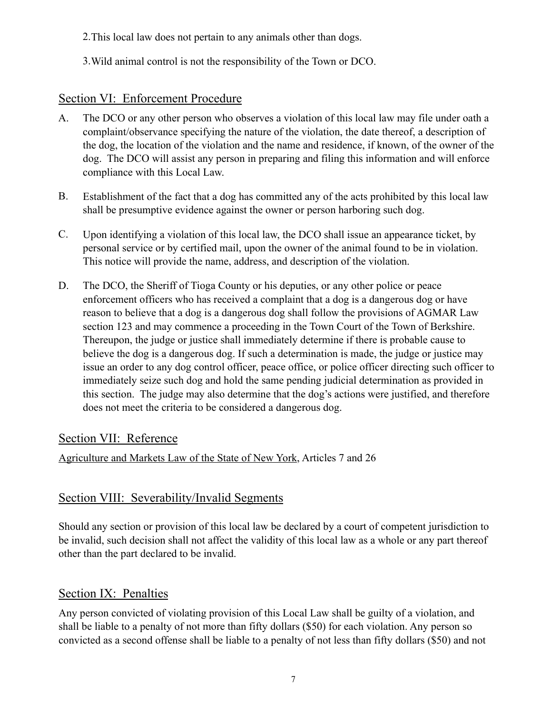- 2.This local law does not pertain to any animals other than dogs.
- 3.Wild animal control is not the responsibility of the Town or DCO.

## Section VI: Enforcement Procedure

- A. The DCO or any other person who observes a violation of this local law may file under oath a complaint/observance specifying the nature of the violation, the date thereof, a description of the dog, the location of the violation and the name and residence, if known, of the owner of the dog. The DCO will assist any person in preparing and filing this information and will enforce compliance with this Local Law.
- B. Establishment of the fact that a dog has committed any of the acts prohibited by this local law shall be presumptive evidence against the owner or person harboring such dog.
- C. Upon identifying a violation of this local law, the DCO shall issue an appearance ticket, by personal service or by certified mail, upon the owner of the animal found to be in violation. This notice will provide the name, address, and description of the violation.
- D. The DCO, the Sheriff of Tioga County or his deputies, or any other police or peace enforcement officers who has received a complaint that a dog is a dangerous dog or have reason to believe that a dog is a dangerous dog shall follow the provisions of AGMAR Law section 123 and may commence a proceeding in the Town Court of the Town of Berkshire. Thereupon, the judge or justice shall immediately determine if there is probable cause to believe the dog is a dangerous dog. If such a determination is made, the judge or justice may issue an order to any dog control officer, peace office, or police officer directing such officer to immediately seize such dog and hold the same pending judicial determination as provided in this section. The judge may also determine that the dog's actions were justified, and therefore does not meet the criteria to be considered a dangerous dog.

#### Section VII: Reference

Agriculture and Markets Law of the State of New York, Articles 7 and 26

## Section VIII: Severability/Invalid Segments

Should any section or provision of this local law be declared by a court of competent jurisdiction to be invalid, such decision shall not affect the validity of this local law as a whole or any part thereof other than the part declared to be invalid.

## Section IX: Penalties

Any person convicted of violating provision of this Local Law shall be guilty of a violation, and shall be liable to a penalty of not more than fifty dollars (\$50) for each violation. Any person so convicted as a second offense shall be liable to a penalty of not less than fifty dollars (\$50) and not